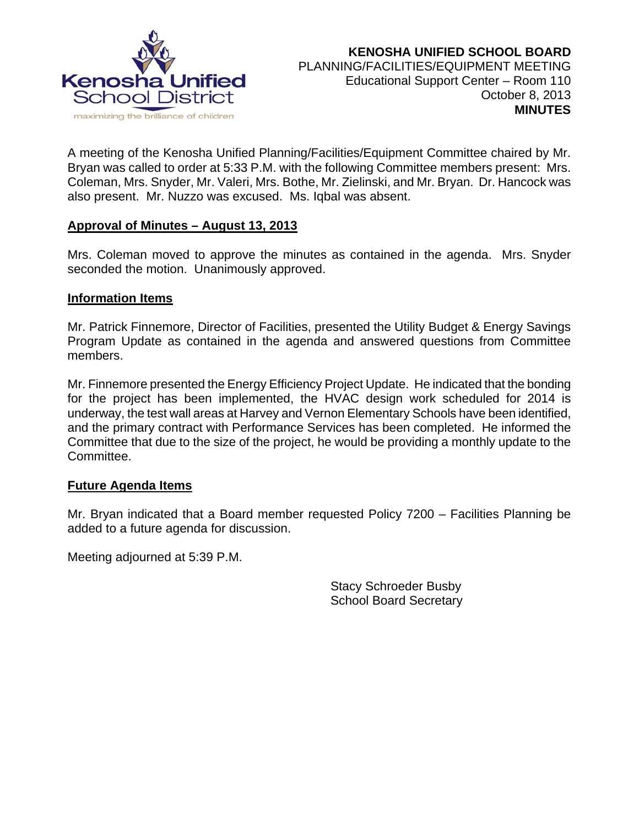

A meeting of the Kenosha Unified Planning/Facilities/Equipment Committee chaired by Mr. Bryan was called to order at 5:33 P.M. with the following Committee members present: Mrs. Coleman, Mrs. Snyder, Mr. Valeri, Mrs. Bothe, Mr. Zielinski, and Mr. Bryan. Dr. Hancock was also present. Mr. Nuzzo was excused. Ms. Iqbal was absent.

### **Approval of Minutes – August 13, 2013**

Mrs. Coleman moved to approve the minutes as contained in the agenda. Mrs. Snyder seconded the motion. Unanimously approved.

#### **Information Items**

Mr. Patrick Finnemore, Director of Facilities, presented the Utility Budget & Energy Savings Program Update as contained in the agenda and answered questions from Committee members.

Mr. Finnemore presented the Energy Efficiency Project Update. He indicated that the bonding for the project has been implemented, the HVAC design work scheduled for 2014 is underway, the test wall areas at Harvey and Vernon Elementary Schools have been identified, and the primary contract with Performance Services has been completed. He informed the Committee that due to the size of the project, he would be providing a monthly update to the Committee.

### **Future Agenda Items**

Mr. Bryan indicated that a Board member requested Policy 7200 – Facilities Planning be added to a future agenda for discussion.

Meeting adjourned at 5:39 P.M.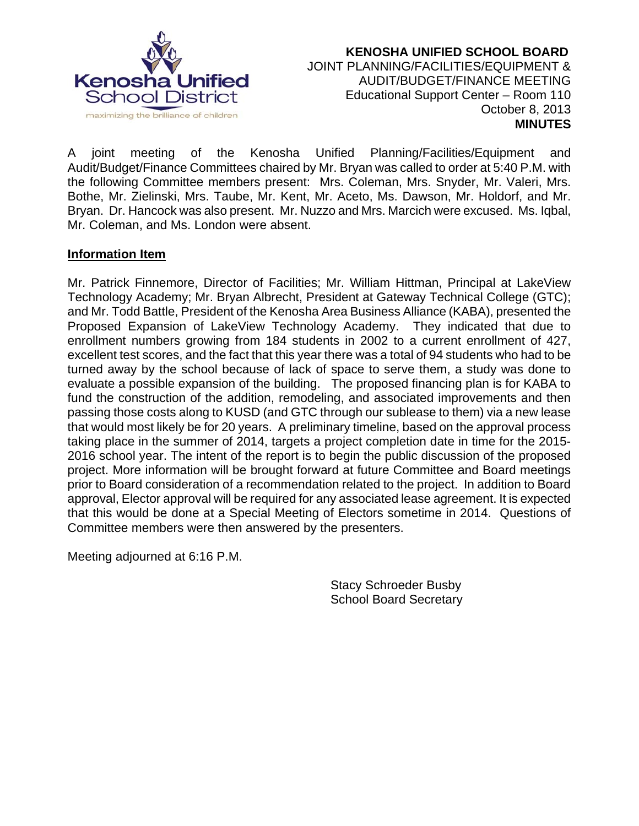

 **KENOSHA UNIFIED SCHOOL BOARD** JOINT PLANNING/FACILITIES/EQUIPMENT & AUDIT/BUDGET/FINANCE MEETING Educational Support Center – Room 110 October 8, 2013  **MINUTES**

A joint meeting of the Kenosha Unified Planning/Facilities/Equipment and Audit/Budget/Finance Committees chaired by Mr. Bryan was called to order at 5:40 P.M. with the following Committee members present: Mrs. Coleman, Mrs. Snyder, Mr. Valeri, Mrs. Bothe, Mr. Zielinski, Mrs. Taube, Mr. Kent, Mr. Aceto, Ms. Dawson, Mr. Holdorf, and Mr. Bryan. Dr. Hancock was also present. Mr. Nuzzo and Mrs. Marcich were excused. Ms. Iqbal, Mr. Coleman, and Ms. London were absent.

### **Information Item**

Mr. Patrick Finnemore, Director of Facilities; Mr. William Hittman, Principal at LakeView Technology Academy; Mr. Bryan Albrecht, President at Gateway Technical College (GTC); and Mr. Todd Battle, President of the Kenosha Area Business Alliance (KABA), presented the Proposed Expansion of LakeView Technology Academy. They indicated that due to enrollment numbers growing from 184 students in 2002 to a current enrollment of 427, excellent test scores, and the fact that this year there was a total of 94 students who had to be turned away by the school because of lack of space to serve them, a study was done to evaluate a possible expansion of the building. The proposed financing plan is for KABA to fund the construction of the addition, remodeling, and associated improvements and then passing those costs along to KUSD (and GTC through our sublease to them) via a new lease that would most likely be for 20 years. A preliminary timeline, based on the approval process taking place in the summer of 2014, targets a project completion date in time for the 2015- 2016 school year. The intent of the report is to begin the public discussion of the proposed project. More information will be brought forward at future Committee and Board meetings prior to Board consideration of a recommendation related to the project. In addition to Board approval, Elector approval will be required for any associated lease agreement. It is expected that this would be done at a Special Meeting of Electors sometime in 2014. Questions of Committee members were then answered by the presenters.

Meeting adjourned at 6:16 P.M.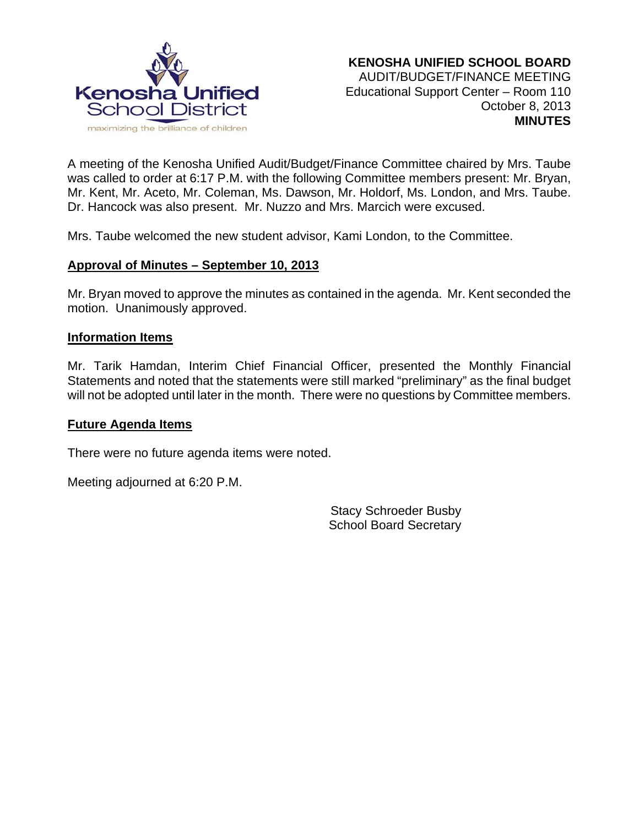

A meeting of the Kenosha Unified Audit/Budget/Finance Committee chaired by Mrs. Taube was called to order at 6:17 P.M. with the following Committee members present: Mr. Bryan, Mr. Kent, Mr. Aceto, Mr. Coleman, Ms. Dawson, Mr. Holdorf, Ms. London, and Mrs. Taube. Dr. Hancock was also present. Mr. Nuzzo and Mrs. Marcich were excused.

Mrs. Taube welcomed the new student advisor, Kami London, to the Committee.

### **Approval of Minutes – September 10, 2013**

Mr. Bryan moved to approve the minutes as contained in the agenda. Mr. Kent seconded the motion. Unanimously approved.

#### **Information Items**

Mr. Tarik Hamdan, Interim Chief Financial Officer, presented the Monthly Financial Statements and noted that the statements were still marked "preliminary" as the final budget will not be adopted until later in the month. There were no questions by Committee members.

#### **Future Agenda Items**

There were no future agenda items were noted.

Meeting adjourned at 6:20 P.M.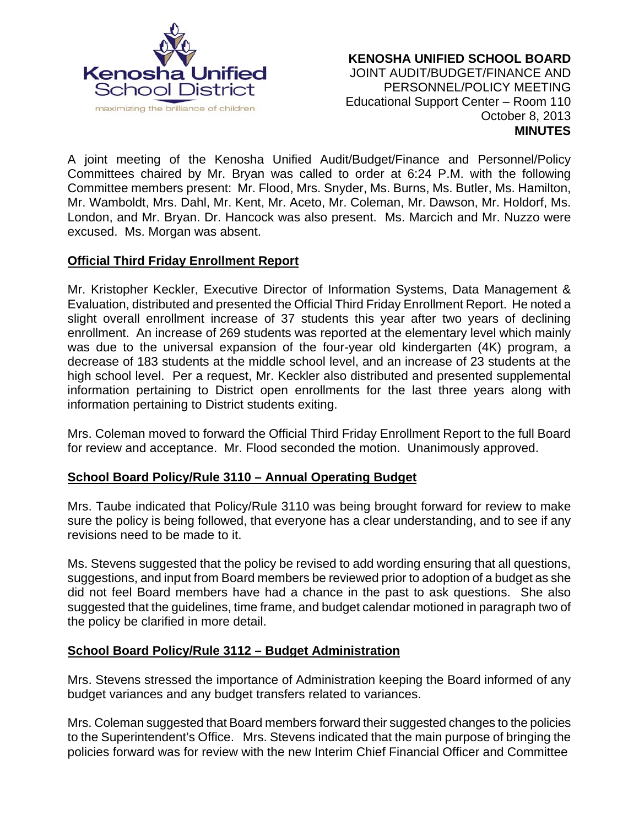

### **KENOSHA UNIFIED SCHOOL BOARD** JOINT AUDIT/BUDGET/FINANCE AND PERSONNEL/POLICY MEETING Educational Support Center – Room 110 October 8, 2013 **MINUTES**

A joint meeting of the Kenosha Unified Audit/Budget/Finance and Personnel/Policy Committees chaired by Mr. Bryan was called to order at 6:24 P.M. with the following Committee members present: Mr. Flood, Mrs. Snyder, Ms. Burns, Ms. Butler, Ms. Hamilton, Mr. Wamboldt, Mrs. Dahl, Mr. Kent, Mr. Aceto, Mr. Coleman, Mr. Dawson, Mr. Holdorf, Ms. London, and Mr. Bryan. Dr. Hancock was also present. Ms. Marcich and Mr. Nuzzo were excused. Ms. Morgan was absent.

# **Official Third Friday Enrollment Report**

Mr. Kristopher Keckler, Executive Director of Information Systems, Data Management & Evaluation, distributed and presented the Official Third Friday Enrollment Report. He noted a slight overall enrollment increase of 37 students this year after two years of declining enrollment. An increase of 269 students was reported at the elementary level which mainly was due to the universal expansion of the four-year old kindergarten (4K) program, a decrease of 183 students at the middle school level, and an increase of 23 students at the high school level. Per a request, Mr. Keckler also distributed and presented supplemental information pertaining to District open enrollments for the last three years along with information pertaining to District students exiting.

Mrs. Coleman moved to forward the Official Third Friday Enrollment Report to the full Board for review and acceptance. Mr. Flood seconded the motion. Unanimously approved.

### **School Board Policy/Rule 3110 – Annual Operating Budget**

Mrs. Taube indicated that Policy/Rule 3110 was being brought forward for review to make sure the policy is being followed, that everyone has a clear understanding, and to see if any revisions need to be made to it.

Ms. Stevens suggested that the policy be revised to add wording ensuring that all questions, suggestions, and input from Board members be reviewed prior to adoption of a budget as she did not feel Board members have had a chance in the past to ask questions. She also suggested that the guidelines, time frame, and budget calendar motioned in paragraph two of the policy be clarified in more detail.

### **School Board Policy/Rule 3112 – Budget Administration**

Mrs. Stevens stressed the importance of Administration keeping the Board informed of any budget variances and any budget transfers related to variances.

Mrs. Coleman suggested that Board members forward their suggested changes to the policies to the Superintendent's Office. Mrs. Stevens indicated that the main purpose of bringing the policies forward was for review with the new Interim Chief Financial Officer and Committee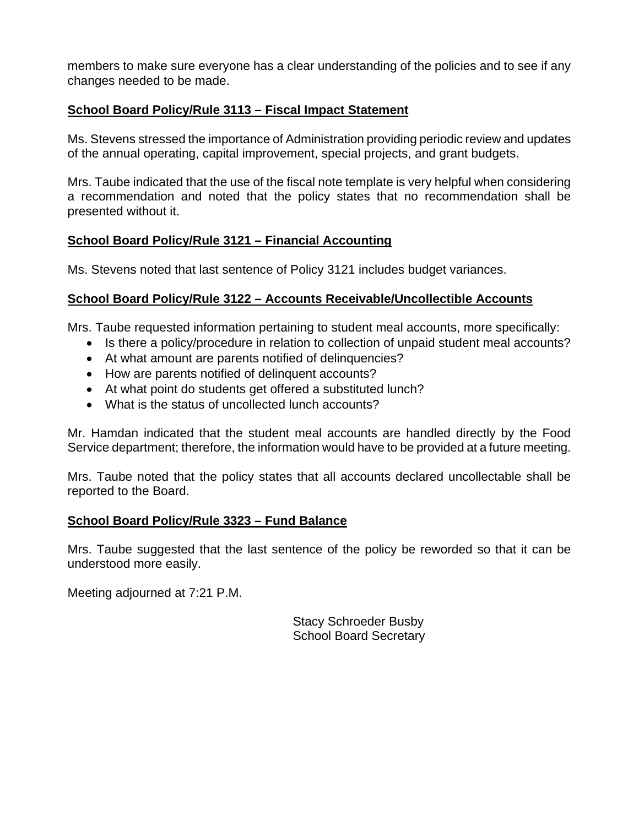members to make sure everyone has a clear understanding of the policies and to see if any changes needed to be made.

# **School Board Policy/Rule 3113 – Fiscal Impact Statement**

Ms. Stevens stressed the importance of Administration providing periodic review and updates of the annual operating, capital improvement, special projects, and grant budgets.

Mrs. Taube indicated that the use of the fiscal note template is very helpful when considering a recommendation and noted that the policy states that no recommendation shall be presented without it.

# **School Board Policy/Rule 3121 – Financial Accounting**

Ms. Stevens noted that last sentence of Policy 3121 includes budget variances.

# **School Board Policy/Rule 3122 – Accounts Receivable/Uncollectible Accounts**

Mrs. Taube requested information pertaining to student meal accounts, more specifically:

- Is there a policy/procedure in relation to collection of unpaid student meal accounts?
- At what amount are parents notified of delinquencies?
- How are parents notified of delinquent accounts?
- At what point do students get offered a substituted lunch?
- What is the status of uncollected lunch accounts?

Mr. Hamdan indicated that the student meal accounts are handled directly by the Food Service department; therefore, the information would have to be provided at a future meeting.

Mrs. Taube noted that the policy states that all accounts declared uncollectable shall be reported to the Board.

### **School Board Policy/Rule 3323 – Fund Balance**

Mrs. Taube suggested that the last sentence of the policy be reworded so that it can be understood more easily.

Meeting adjourned at 7:21 P.M.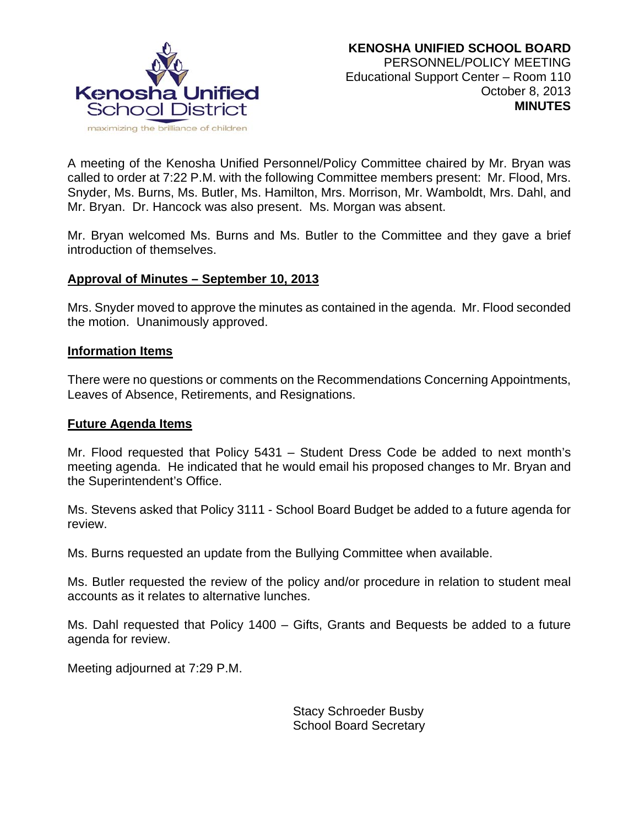

A meeting of the Kenosha Unified Personnel/Policy Committee chaired by Mr. Bryan was called to order at 7:22 P.M. with the following Committee members present: Mr. Flood, Mrs. Snyder, Ms. Burns, Ms. Butler, Ms. Hamilton, Mrs. Morrison, Mr. Wamboldt, Mrs. Dahl, and Mr. Bryan. Dr. Hancock was also present. Ms. Morgan was absent.

Mr. Bryan welcomed Ms. Burns and Ms. Butler to the Committee and they gave a brief introduction of themselves.

### **Approval of Minutes – September 10, 2013**

Mrs. Snyder moved to approve the minutes as contained in the agenda. Mr. Flood seconded the motion. Unanimously approved.

#### **Information Items**

There were no questions or comments on the Recommendations Concerning Appointments, Leaves of Absence, Retirements, and Resignations.

### **Future Agenda Items**

Mr. Flood requested that Policy 5431 – Student Dress Code be added to next month's meeting agenda. He indicated that he would email his proposed changes to Mr. Bryan and the Superintendent's Office.

Ms. Stevens asked that Policy 3111 - School Board Budget be added to a future agenda for review.

Ms. Burns requested an update from the Bullying Committee when available.

Ms. Butler requested the review of the policy and/or procedure in relation to student meal accounts as it relates to alternative lunches.

Ms. Dahl requested that Policy 1400 – Gifts, Grants and Bequests be added to a future agenda for review.

Meeting adjourned at 7:29 P.M.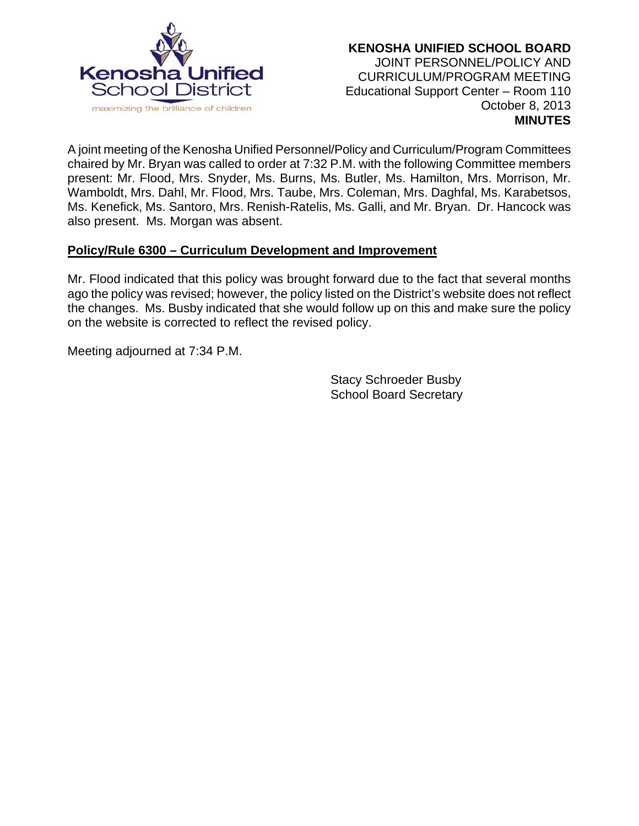

### **KENOSHA UNIFIED SCHOOL BOARD** JOINT PERSONNEL/POLICY AND CURRICULUM/PROGRAM MEETING Educational Support Center – Room 110 October 8, 2013 **MINUTES**

A joint meeting of the Kenosha Unified Personnel/Policy and Curriculum/Program Committees chaired by Mr. Bryan was called to order at 7:32 P.M. with the following Committee members present: Mr. Flood, Mrs. Snyder, Ms. Burns, Ms. Butler, Ms. Hamilton, Mrs. Morrison, Mr. Wamboldt, Mrs. Dahl, Mr. Flood, Mrs. Taube, Mrs. Coleman, Mrs. Daghfal, Ms. Karabetsos, Ms. Kenefick, Ms. Santoro, Mrs. Renish-Ratelis, Ms. Galli, and Mr. Bryan. Dr. Hancock was also present. Ms. Morgan was absent.

### **Policy/Rule 6300 – Curriculum Development and Improvement**

Mr. Flood indicated that this policy was brought forward due to the fact that several months ago the policy was revised; however, the policy listed on the District's website does not reflect the changes. Ms. Busby indicated that she would follow up on this and make sure the policy on the website is corrected to reflect the revised policy.

Meeting adjourned at 7:34 P.M.